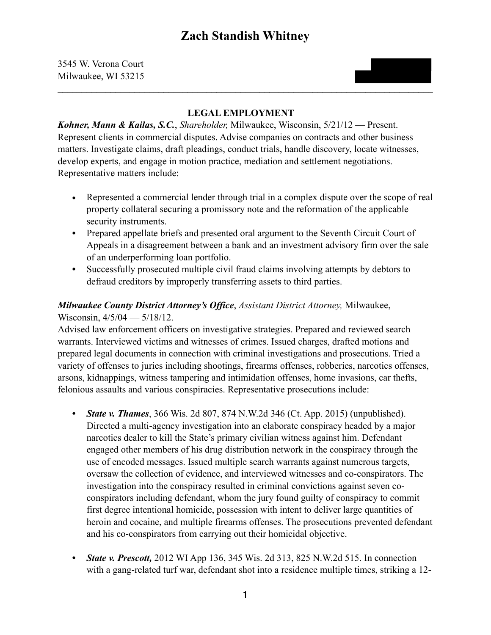#### **LEGAL EMPLOYMENT**

 $\mathcal{L}_\mathcal{L} = \{ \mathcal{L}_\mathcal{L} = \{ \mathcal{L}_\mathcal{L} = \{ \mathcal{L}_\mathcal{L} = \{ \mathcal{L}_\mathcal{L} = \{ \mathcal{L}_\mathcal{L} = \{ \mathcal{L}_\mathcal{L} = \{ \mathcal{L}_\mathcal{L} = \{ \mathcal{L}_\mathcal{L} = \{ \mathcal{L}_\mathcal{L} = \{ \mathcal{L}_\mathcal{L} = \{ \mathcal{L}_\mathcal{L} = \{ \mathcal{L}_\mathcal{L} = \{ \mathcal{L}_\mathcal{L} = \{ \mathcal{L}_\mathcal{$ 

*Kohner, Mann & Kailas, S.C.*, *Shareholder,* Milwaukee, Wisconsin, 5/21/12 — Present. Represent clients in commercial disputes. Advise companies on contracts and other business matters. Investigate claims, draft pleadings, conduct trials, handle discovery, locate witnesses, develop experts, and engage in motion practice, mediation and settlement negotiations. Representative matters include:

- *•* Represented a commercial lender through trial in a complex dispute over the scope of real property collateral securing a promissory note and the reformation of the applicable security instruments.
- *•* Prepared appellate briefs and presented oral argument to the Seventh Circuit Court of Appeals in a disagreement between a bank and an investment advisory firm over the sale of an underperforming loan portfolio.
- *•* Successfully prosecuted multiple civil fraud claims involving attempts by debtors to defraud creditors by improperly transferring assets to third parties.

#### *Milwaukee County District Attorney's Office*, *Assistant District Attorney,* Milwaukee, Wisconsin, 4/5/04 — 5/18/12.

Advised law enforcement officers on investigative strategies. Prepared and reviewed search warrants. Interviewed victims and witnesses of crimes. Issued charges, drafted motions and prepared legal documents in connection with criminal investigations and prosecutions. Tried a variety of offenses to juries including shootings, firearms offenses, robberies, narcotics offenses, arsons, kidnappings, witness tampering and intimidation offenses, home invasions, car thefts, felonious assaults and various conspiracies. Representative prosecutions include:

- *• State v. Thames*, 366 Wis. 2d 807, 874 N.W.2d 346 (Ct. App. 2015) (unpublished). Directed a multi-agency investigation into an elaborate conspiracy headed by a major narcotics dealer to kill the State's primary civilian witness against him. Defendant engaged other members of his drug distribution network in the conspiracy through the use of encoded messages. Issued multiple search warrants against numerous targets, oversaw the collection of evidence, and interviewed witnesses and co-conspirators. The investigation into the conspiracy resulted in criminal convictions against seven coconspirators including defendant, whom the jury found guilty of conspiracy to commit first degree intentional homicide, possession with intent to deliver large quantities of heroin and cocaine, and multiple firearms offenses. The prosecutions prevented defendant and his co-conspirators from carrying out their homicidal objective.
- *• State v. Prescott,* 2012 WI App 136, 345 Wis. 2d 313, 825 N.W.2d 515. In connection with a gang-related turf war, defendant shot into a residence multiple times, striking a 12-